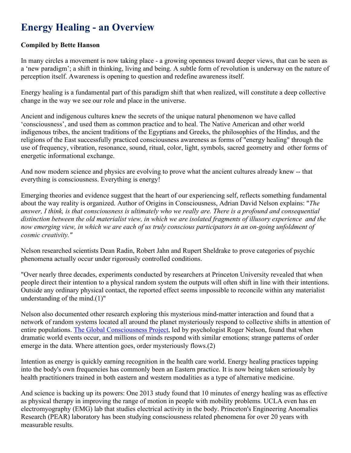## **Energy Healing - an Overview**

## **Compiled by Bette Hanson**

In many circles a movement is now taking place - a growing openness toward deeper views, that can be seen as a 'new paradigm'; a shift in thinking, living and being. A subtle form of revolution is underway on the nature of perception itself. Awareness is opening to question and redefine awareness itself.

Energy healing is a fundamental part of this paradigm shift that when realized, will constitute a deep collective change in the way we see our role and place in the universe.

Ancient and indigenous cultures knew the secrets of the unique natural phenomenon we have called 'consciousness', and used them as common practice and to heal. The Native American and other world indigenous tribes, the ancient traditions of the Egyptians and Greeks, the philosophies of the Hindus, and the religions of the East successfully practiced consciousness awareness as forms of "energy healing" through the use of frequency, vibration, resonance, sound, ritual, color, light, symbols, sacred geometry and other forms of energetic informational exchange.

And now modern science and physics are evolving to prove what the ancient cultures already knew -- that everything is consciousness. Everything is energy!

Emerging theories and evidence suggest that the heart of our experiencing self, reflects something fundamental about the way reality is organized. Author of Origins in Consciousness, Adrian David Nelson explains: "*The answer, I think, is that consciousness is ultimately who we really are. There is a profound and consequential distinction between the old materialist view, in which we are isolated fragments of illusory experience and the now emerging view, in which we are each of us truly conscious participators in an on-going unfoldment of cosmic creativity."*

Nelson researched scientists Dean Radin, Robert Jahn and Rupert Sheldrake to prove categories of psychic phenomena actually occur under rigorously controlled conditions.

"Over nearly three decades, experiments conducted by researchers at Princeton University revealed that when people direct their intention to a physical random system the outputs will often shift in line with their intentions. Outside any ordinary physical contact, the reported effect seems impossible to reconcile within any materialist understanding of the mind.(1)"

Nelson also documented other research exploring this mysterious mind-matter interaction and found that a network of random systems located all around the planet mysteriously respond to collective shifts in attention of entire populations. The Global Consciousness Project, led by psychologist Roger Nelson, found that when dramatic world events occur, and millions of minds respond with similar emotions; strange patterns of order emerge in the data. Where attention goes, order mysteriously flows.(2)

Intention as energy is quickly earning recognition in the health care world. Energy healing practices tapping into the body's own frequencies has commonly been an Eastern practice. It is now being taken seriously by health practitioners trained in both eastern and western modalities as a type of alternative medicine.

And science is backing up its powers: One 2013 study found that 10 minutes of energy healing was as effective as physical therapy in improving the range of motion in people with mobility problems. UCLA even has en electromyography (EMG) lab that studies electrical activity in the body. Princeton's Engineering Anomalies Research (PEAR) laboratory has been studying consciousness related phenomena for over 20 years with measurable results.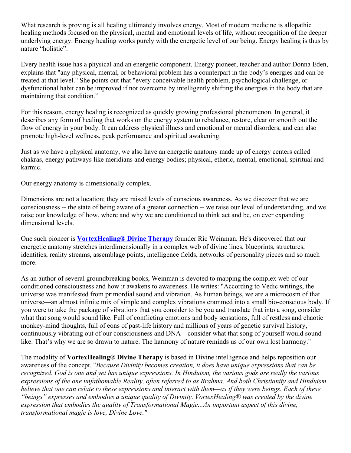What research is proving is all healing ultimately involves energy. Most of modern medicine is allopathic healing methods focused on the physical, mental and emotional levels of life, without recognition of the deeper underlying energy. Energy healing works purely with the energetic level of our being. Energy healing is thus by nature "holistic".

Every health issue has a physical and an energetic component. Energy pioneer, teacher and author Donna Eden, explains that "any physical, mental, or behavioral problem has a counterpart in the body's energies and can be treated at that level." She points out that "every conceivable health problem, psychological challenge, or dysfunctional habit can be improved if not overcome by intelligently shifting the energies in the body that are maintaining that condition."

For this reason, energy healing is recognized as quickly growing professional phenomenon. In general, it describes any form of healing that works on the energy system to rebalance, restore, clear or smooth out the flow of energy in your body. It can address physical illness and emotional or mental disorders, and can also promote high-level wellness, peak performance and spiritual awakening.

Just as we have a physical anatomy, we also have an energetic anatomy made up of energy centers called chakras, energy pathways like meridians and energy bodies; physical, etheric, mental, emotional, spiritual and karmic.

Our energy anatomy is dimensionally complex.

Dimensions are not a location; they are raised levels of conscious awareness. As we discover that we are consciousness -- the state of being aware of a greater connection -- we raise our level of understanding, and we raise our knowledge of how, where and why we are conditioned to think act and be, on ever expanding dimensional levels.

One such pioneer is **VortexHealing® Divine Therapy** founder Ric Weinman. He's discovered that our energetic anatomy stretches interdimensionally in a complex web of divine lines, blueprints, structures, identities, reality streams, assemblage points, intelligence fields, networks of personality pieces and so much more.

As an author of several groundbreaking books, Weinman is devoted to mapping the complex web of our conditioned consciousness and how it awakens to awareness. He writes: "According to Vedic writings, the universe was manifested from primordial sound and vibration. As human beings, we are a microcosm of that universe—an almost infinite mix of simple and complex vibrations crammed into a small bio-conscious body. If you were to take the package of vibrations that you consider to be you and translate that into a song, consider what that song would sound like. Full of conflicting emotions and body sensations, full of restless and chaotic monkey-mind thoughts, full of eons of past-life history and millions of years of genetic survival history, continuously vibrating out of our consciousness and DNA—consider what that song of yourself would sound like. That's why we are so drawn to nature. The harmony of nature reminds us of our own lost harmony."

The modality of **VortexHealing® Divine Therapy** is based in Divine intelligence and helps reposition our awareness of the concept. "*Because Divinity becomes creation, it does have unique expressions that can be recognized. God is one and yet has unique expressions. In Hinduism, the various gods are really the various expressions of the one unfathomable Reality, often referred to as Brahma. And both Christianity and Hinduism believe that one can relate to these expressions and interact with them—as if they were beings. Each of these "beings" expresses and embodies a unique quality of Divinity. VortexHealing® was created by the divine expression that embodies the quality of Transformational Magic...An important aspect of this divine, transformational magic is love, Divine Love."*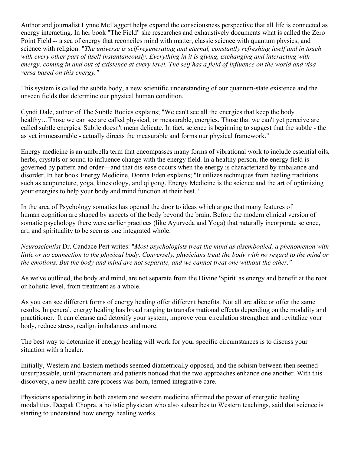Author and journalist Lynne McTaggert helps expand the consciousness perspective that all life is connected as energy interacting. In her book "The Field" she researches and exhaustively documents what is called the Zero Point Field -- a sea of energy that reconciles mind with matter, classic science with quantum physics, and science with religion. "*The universe is self-regenerating and eternal, constantly refreshing itself and in touch with every other part of itself instantaneously. Everything in it is giving, exchanging and interacting with energy, coming in and out of existence at every level. The self has a field of influence on the world and visa versa based on this energy."*

This system is called the subtle body, a new scientific understanding of our quantum-state existence and the unseen fields that determine our physical human condition.

Cyndi Dale, author of The Subtle Bodies explains; "We can't see all the energies that keep the body healthy...Those we can see are called physical, or measurable, energies. Those that we can't yet perceive are called subtle energies. Subtle doesn't mean delicate. In fact, science is beginning to suggest that the subtle - the as yet immeasurable - actually directs the measurable and forms our physical framework."

Energy medicine is an umbrella term that encompasses many forms of vibrational work to include essential oils, herbs, crystals or sound to influence change with the energy field. In a healthy person, the energy field is governed by pattern and order—and that dis-ease occurs when the energy is characterized by imbalance and disorder. In her book Energy Medicine, Donna Eden explains; "It utilizes techniques from healing traditions such as acupuncture, yoga, kinesiology, and qi gong. Energy Medicine is the science and the art of optimizing your energies to help your body and mind function at their best."

In the area of Psychology somatics has opened the door to ideas which argue that many features of human cognition are shaped by aspects of the body beyond the brain. Before the modern clinical version of somatic psychology there were earlier practices (like Ayurveda and Yoga) that naturally incorporate science, art, and spirituality to be seen as one integrated whole.

*Neuroscientist* Dr. Candace Pert writes: "*Most psychologists treat the mind as disembodied, a phenomenon with*  little or no connection to the physical body. Conversely, physicians treat the body with no regard to the mind or *the emotions. But the body and mind are not separate, and we cannot treat one without the other."*

As we've outlined, the body and mind, are not separate from the Divine 'Spirit' as energy and benefit at the root or holistic level, from treatment as a whole.

As you can see different forms of energy healing offer different benefits. Not all are alike or offer the same results. In general, energy healing has broad ranging to transformational effects depending on the modality and practitioner. It can cleanse and detoxify your system, improve your circulation strengthen and revitalize your body, reduce stress, realign imbalances and more.

The best way to determine if energy healing will work for your specific circumstances is to discuss your situation with a healer.

Initially, Western and Eastern methods seemed diametrically opposed, and the schism between then seemed unsurpassable, until practitioners and patients noticed that the two approaches enhance one another. With this discovery, a new health care process was born, termed integrative care.

Physicians specializing in both eastern and western medicine affirmed the power of energetic healing modalities. Deepak Chopra, a holistic physician who also subscribes to Western teachings, said that science is starting to understand how energy healing works.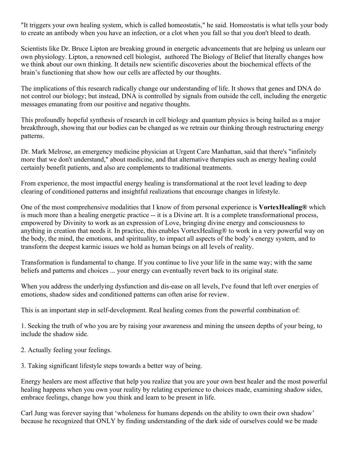"It triggers your own healing system, which is called homeostatis," he said. Homeostatis is what tells your body to create an antibody when you have an infection, or a clot when you fall so that you don't bleed to death.

Scientists like Dr. Bruce Lipton are breaking ground in energetic advancements that are helping us unlearn our own physiology. Lipton, a renowned cell biologist, authored The Biology of Belief that literally changes how we think about our own thinking. It details new scientific discoveries about the biochemical effects of the brain's functioning that show how our cells are affected by our thoughts.

The implications of this research radically change our understanding of life. It shows that genes and DNA do not control our biology; but instead, DNA is controlled by signals from outside the cell, including the energetic messages emanating from our positive and negative thoughts.

This profoundly hopeful synthesis of research in cell biology and quantum physics is being hailed as a major breakthrough, showing that our bodies can be changed as we retrain our thinking through restructuring energy patterns.

Dr. Mark Melrose, an emergency medicine physician at Urgent Care Manhattan, said that there's "infinitely more that we don't understand," about medicine, and that alternative therapies such as energy healing could certainly benefit patients, and also are complements to traditional treatments.

From experience, the most impactful energy healing is transformational at the root level leading to deep clearing of conditioned patterns and insightful realizations that encourage changes in lifestyle.

One of the most comprehensive modalities that I know of from personal experience is **VortexHealing®** which is much more than a healing energetic practice -- it is a Divine art. It is a complete transformational process, empowered by Divinity to work as an expression of Love, bringing divine energy and consciousness to anything in creation that needs it. In practice, this enables VortexHealing® to work in a very powerful way on the body, the mind, the emotions, and spirituality, to impact all aspects of the body's energy system, and to transform the deepest karmic issues we hold as human beings on all levels of reality.

Transformation is fundamental to change. If you continue to live your life in the same way; with the same beliefs and patterns and choices ... your energy can eventually revert back to its original state.

When you address the underlying dysfunction and dis-ease on all levels, I've found that left over energies of emotions, shadow sides and conditioned patterns can often arise for review.

This is an important step in self-development. Real healing comes from the powerful combination of:

1. Seeking the truth of who you are by raising your awareness and mining the unseen depths of your being, to include the shadow side.

2. Actually feeling your feelings.

3. Taking significant lifestyle steps towards a better way of being.

Energy healers are most affective that help you realize that you are your own best healer and the most powerful healing happens when you own your reality by relating experience to choices made, examining shadow sides, embrace feelings, change how you think and learn to be present in life.

Carl Jung was forever saying that 'wholeness for humans depends on the ability to own their own shadow' because he recognized that ONLY by finding understanding of the dark side of ourselves could we be made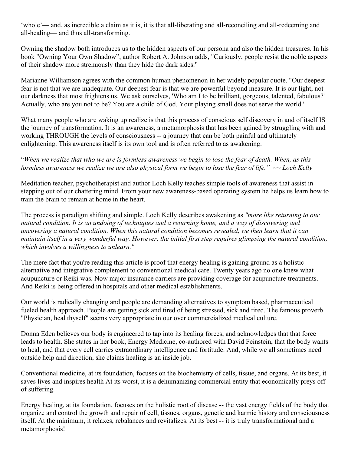'whole'— and, as incredible a claim as it is, it is that all-liberating and all-reconciling and all-redeeming and all-healing— and thus all-transforming.

Owning the shadow both introduces us to the hidden aspects of our persona and also the hidden treasures. In his book "Owning Your Own Shadow", author Robert A. Johnson adds, "Curiously, people resist the noble aspects of their shadow more strenuously than they hide the dark sides."

Marianne Williamson agrees with the common human phenomenon in her widely popular quote. "Our deepest fear is not that we are inadequate. Our deepest fear is that we are powerful beyond measure. It is our light, not our darkness that most frightens us. We ask ourselves, 'Who am I to be brilliant, gorgeous, talented, fabulous?' Actually, who are you not to be? You are a child of God. Your playing small does not serve the world."

What many people who are waking up realize is that this process of conscious self discovery in and of itself IS the journey of transformation. It is an awareness, a metamorphosis that has been gained by struggling with and working THROUGH the levels of consciousness -- a journey that can be both painful and ultimately enlightening. This awareness itself is its own tool and is often referred to as awakening.

## "*When we realize that who we are is formless awareness we begin to lose the fear of death. When, as this formless awareness we realize we are also physical form we begin to lose the fear of life." ~~ Loch Kelly*

Meditation teacher, psychotherapist and author Loch Kelly teaches simple tools of awareness that assist in stepping out of our chattering mind. From your new awareness-based operating system he helps us learn how to train the brain to remain at home in the heart.

The process is paradigm shifting and simple. Loch Kelly describes awakening as *"more like returning to our natural condition. It is an undoing of techniques and a returning home, and a way of discovering and uncovering a natural condition. When this natural condition becomes revealed, we then learn that it can maintain itself in a very wonderful way. However, the initial first step requires glimpsing the natural condition, which involves a willingness to unlearn."*

The mere fact that you're reading this article is proof that energy healing is gaining ground as a holistic alternative and integrative complement to conventional medical care. Twenty years ago no one knew what acupuncture or Reiki was. Now major insurance carriers are providing coverage for acupuncture treatments. And Reiki is being offered in hospitals and other medical establishments.

Our world is radically changing and people are demanding alternatives to symptom based, pharmaceutical fueled health approach. People are getting sick and tired of being stressed, sick and tired. The famous proverb "Physician, heal thyself" seems very appropriate in our over commercialized medical culture.

Donna Eden believes our body is engineered to tap into its healing forces, and acknowledges that that force leads to health. She states in her book, Energy Medicine, co-authored with David Feinstein, that the body wants to heal, and that every cell carries extraordinary intelligence and fortitude. And, while we all sometimes need outside help and direction, she claims healing is an inside job.

Conventional medicine, at its foundation, focuses on the biochemistry of cells, tissue, and organs. At its best, it saves lives and inspires health At its worst, it is a dehumanizing commercial entity that economically preys off of suffering.

Energy healing, at its foundation, focuses on the holistic root of disease -- the vast energy fields of the body that organize and control the growth and repair of cell, tissues, organs, genetic and karmic history and consciousness itself. At the minimum, it relaxes, rebalances and revitalizes. At its best -- it is truly transformational and a metamorphosis!